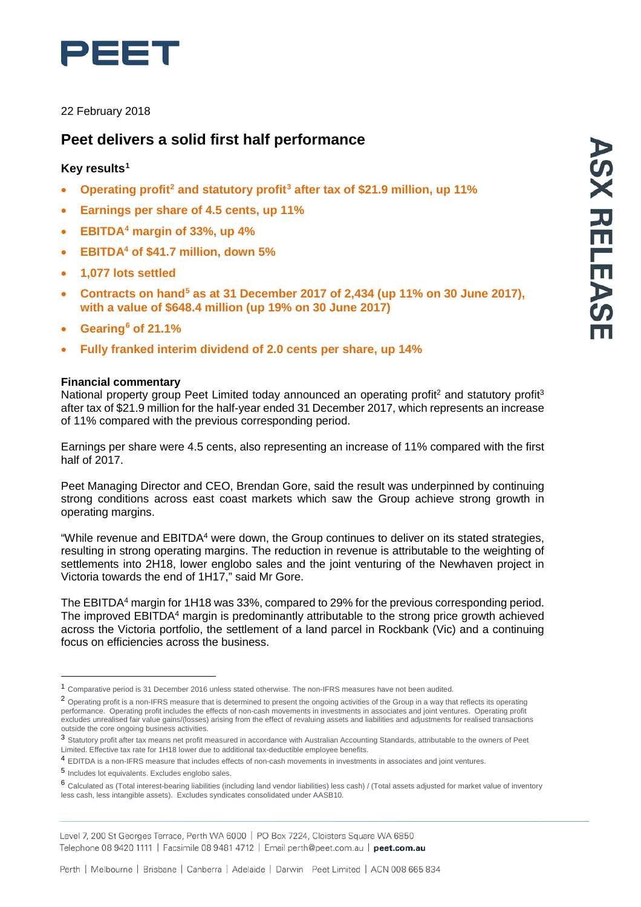

## 22 February 2018

# **Peet delivers a solid first half performance**

## **Key results[1](#page-0-0)**

- **Operating profit[2](#page-0-1) and statutory profit[3](#page-0-2) after tax of \$21.9 million, up 11%**
- **Earnings per share of 4.5 cents, up 11%**
- **EBITDA[4](#page-0-3) margin of 33%, up 4%**
- **EBITDA4 of \$41.7 million, down 5%**
- **1,077 lots settled**
- **Contracts on hand[5](#page-0-4) as at 31 December 2017 of 2,434 (up 11% on 30 June 2017), with a value of \$648.4 million (up 19% on 30 June 2017)**
- **Gearing[6](#page-0-5) of 21.1%**
- **Fully franked interim dividend of 2.0 cents per share, up 14%**

## **Financial commentary**

National property group Peet Limited today announced an operating profit<sup>2</sup> and statutory profit<sup>3</sup> after tax of \$21.9 million for the half-year ended 31 December 2017, which represents an increase of 11% compared with the previous corresponding period.

Earnings per share were 4.5 cents, also representing an increase of 11% compared with the first half of 2017.

Peet Managing Director and CEO, Brendan Gore, said the result was underpinned by continuing strong conditions across east coast markets which saw the Group achieve strong growth in operating margins.

"While revenue and EBITDA4 were down, the Group continues to deliver on its stated strategies, resulting in strong operating margins. The reduction in revenue is attributable to the weighting of settlements into 2H18, lower englobo sales and the joint venturing of the Newhaven project in Victoria towards the end of 1H17," said Mr Gore.

The EBITDA4 margin for 1H18 was 33%, compared to 29% for the previous corresponding period. The improved EBITDA<sup>4</sup> margin is predominantly attributable to the strong price growth achieved across the Victoria portfolio, the settlement of a land parcel in Rockbank (Vic) and a continuing focus on efficiencies across the business.

Level 7, 200 St Georges Terrace, Perth WA 6000 | PO Box 7224, Cloisters Square WA 6850 Telephone 08 9420 1111 | Facsimile 08 9481 4712 | Email perth@peet.com.au | peet.com.au

<span id="page-0-0"></span><sup>1</sup> Comparative period is <sup>31</sup> December <sup>2016</sup> unless stated otherwise. The non-IFRS measures have not been audited.

<span id="page-0-1"></span><sup>&</sup>lt;sup>2</sup> Operating profit is a non-IFRS measure that is determined to present the ongoing activities of the Group in a way that reflects its operating performance. Operating profit includes the effects of non-cash movements in investments in associates and joint ventures. Operating profit excludes unrealised fair value gains/(losses) arising from the effect of revaluing assets and liabilities and adjustments for realised transactions outside the core ongoing business activities.

<span id="page-0-2"></span><sup>3</sup> Statutory profit after tax means net profit measured in accordance with Australian Accounting Standards, attributable to the owners of Peet Limited. Effective tax rate for 1H18 lower due to additional tax-deductible employee benefits.

<span id="page-0-3"></span><sup>4</sup> EDITDA is a non-IFRS measure that includes effects of non-cash movements in investments in associates and joint ventures.

<span id="page-0-4"></span><sup>5</sup> Includes lot equivalents. Excludes englobo sales.

<span id="page-0-5"></span><sup>6</sup> Calculated as (Total interest-bearing liabilities (including land vendor liabilities) less cash) / (Total assets adjusted for market value of inventory less cash, less intangible assets). Excludes syndicates consolidated under AASB10.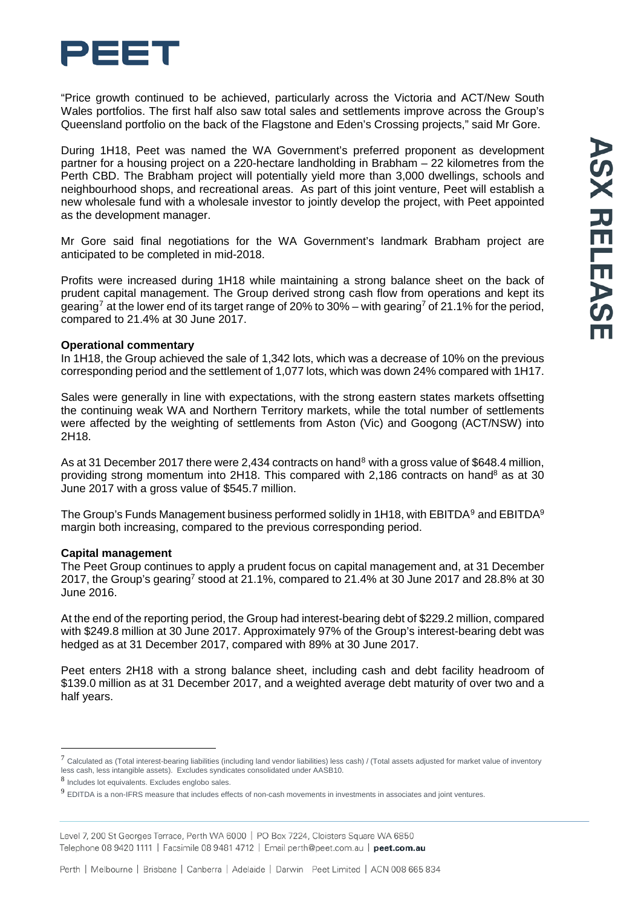

"Price growth continued to be achieved, particularly across the Victoria and ACT/New South Wales portfolios. The first half also saw total sales and settlements improve across the Group's Queensland portfolio on the back of the Flagstone and Eden's Crossing projects," said Mr Gore.

During 1H18, Peet was named the WA Government's preferred proponent as development partner for a housing project on a 220-hectare landholding in Brabham – 22 kilometres from the Perth CBD. The Brabham project will potentially yield more than 3,000 dwellings, schools and neighbourhood shops, and recreational areas. As part of this joint venture, Peet will establish a new wholesale fund with a wholesale investor to jointly develop the project, with Peet appointed as the development manager.

Mr Gore said final negotiations for the WA Government's landmark Brabham project are anticipated to be completed in mid-2018.

Profits were increased during 1H18 while maintaining a strong balance sheet on the back of prudent capital management. The Group derived strong cash flow from operations and kept its gearing<sup>[7](#page-1-0)</sup> at the lower end of its target range of 20% to 30% – with gearing<sup>7</sup> of 21.1% for the period, compared to 21.4% at 30 June 2017.

#### **Operational commentary**

In 1H18, the Group achieved the sale of 1,342 lots, which was a decrease of 10% on the previous corresponding period and the settlement of 1,077 lots, which was down 24% compared with 1H17.

Sales were generally in line with expectations, with the strong eastern states markets offsetting the continuing weak WA and Northern Territory markets, while the total number of settlements were affected by the weighting of settlements from Aston (Vic) and Googong (ACT/NSW) into 2H18.

As at 31 December 2017 there were 2,434 contracts on hand<sup>[8](#page-1-1)</sup> with a gross value of \$648.4 million, providing strong momentum into 2H18. This compared with  $2,186$  contracts on hand<sup>8</sup> as at 30 June 2017 with a gross value of \$545.7 million.

The Group's Funds Management business performed solidly in 1H18, with EBITDA<sup>[9](#page-1-2)</sup> and EBITDA<sup>9</sup> margin both increasing, compared to the previous corresponding period.

#### **Capital management**

The Peet Group continues to apply a prudent focus on capital management and, at 31 December 2017, the Group's gearing7 stood at 21.1%, compared to 21.4% at 30 June 2017 and 28.8% at 30 June 2016.

At the end of the reporting period, the Group had interest-bearing debt of \$229.2 million, compared with \$249.8 million at 30 June 2017. Approximately 97% of the Group's interest-bearing debt was hedged as at 31 December 2017, compared with 89% at 30 June 2017.

Peet enters 2H18 with a strong balance sheet, including cash and debt facility headroom of \$139.0 million as at 31 December 2017, and a weighted average debt maturity of over two and a half years.

<span id="page-1-0"></span> $^7$  Calculated as (Total interest-bearing liabilities (including land vendor liabilities) less cash) / (Total assets adjusted for market value of inventory less cash, less intangible assets). Excludes syndicates consolidated under AASB10.

<span id="page-1-1"></span><sup>8</sup> Includes lot equivalents. Excludes englobo sales.

<span id="page-1-2"></span><sup>9</sup> EDITDA is <sup>a</sup> non-IFRS measure that includes effects of non-cash movements in investments in associates and joint ventures.